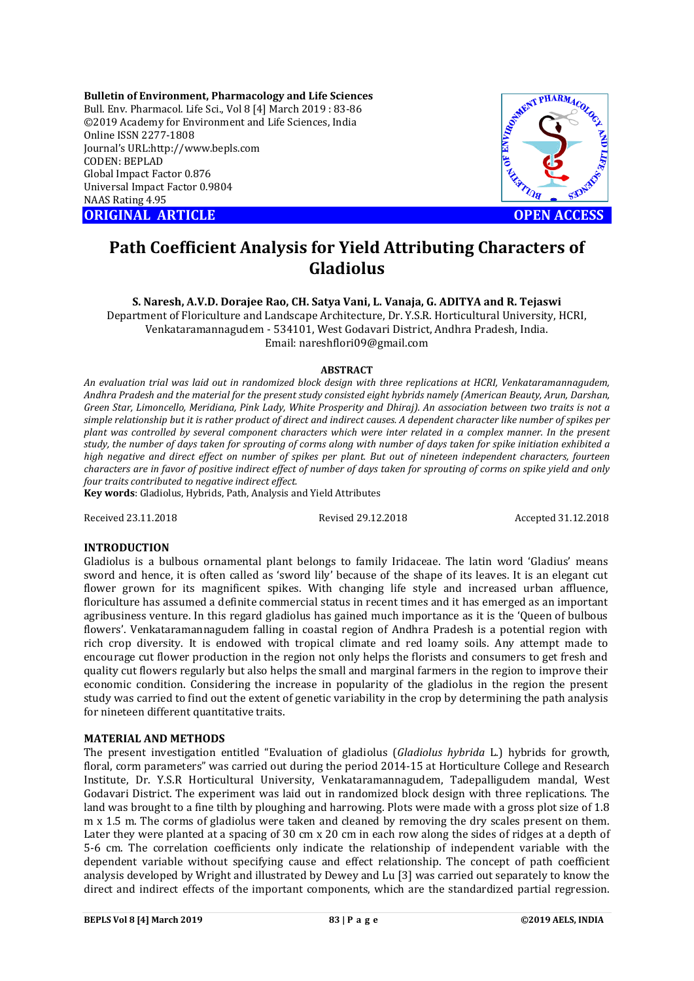**Bulletin of Environment, Pharmacology and Life Sciences** Bull. Env. Pharmacol. Life Sci., Vol 8 [4] March 2019 : 83-86 ©2019 Academy for Environment and Life Sciences, India Online ISSN 2277-1808 Journal's URL:http://www.bepls.com CODEN: BEPLAD Global Impact Factor 0.876 Universal Impact Factor 0.9804 NAAS Rating 4.95 **ORIGINAL ARTICLE OPEN ACCESS** 



# **Path Coefficient Analysis for Yield Attributing Characters of Gladiolus**

**S. Naresh, A.V.D. Dorajee Rao, CH. Satya Vani, L. Vanaja, G. ADITYA and R. Tejaswi**

Department of Floriculture and Landscape Architecture, Dr. Y.S.R. Horticultural University, HCRI, Venkataramannagudem - 534101, West Godavari District, Andhra Pradesh, India. Email: nareshflori09@gmail.com

## **ABSTRACT**

*An evaluation trial was laid out in randomized block design with three replications at HCRI, Venkataramannagudem, Andhra Pradesh and the material for the present study consisted eight hybrids namely (American Beauty, Arun, Darshan, Green Star, Limoncello, Meridiana, Pink Lady, White Prosperity and Dhiraj). An association between two traits is not a simple relationship but it is rather product of direct and indirect causes. A dependent character like number of spikes per plant was controlled by several component characters which were inter related in a complex manner. In the present study, the number of days taken for sprouting of corms along with number of days taken for spike initiation exhibited a high negative and direct effect on number of spikes per plant. But out of nineteen independent characters, fourteen characters are in favor of positive indirect effect of number of days taken for sprouting of corms on spike yield and only four traits contributed to negative indirect effect.*

**Key words**: Gladiolus, Hybrids, Path, Analysis and Yield Attributes

Received 23.11.2018 Revised 29.12.2018 Accepted 31.12.2018

## **INTRODUCTION**

Gladiolus is a bulbous ornamental plant belongs to family Iridaceae. The latin word 'Gladius' means sword and hence, it is often called as 'sword lily' because of the shape of its leaves. It is an elegant cut flower grown for its magnificent spikes. With changing life style and increased urban affluence, floriculture has assumed a definite commercial status in recent times and it has emerged as an important agribusiness venture. In this regard gladiolus has gained much importance as it is the 'Queen of bulbous flowers'. Venkataramannagudem falling in coastal region of Andhra Pradesh is a potential region with rich crop diversity. It is endowed with tropical climate and red loamy soils. Any attempt made to encourage cut flower production in the region not only helps the florists and consumers to get fresh and quality cut flowers regularly but also helps the small and marginal farmers in the region to improve their economic condition. Considering the increase in popularity of the gladiolus in the region the present study was carried to find out the extent of genetic variability in the crop by determining the path analysis for nineteen different quantitative traits.

## **MATERIAL AND METHODS**

The present investigation entitled "Evaluation of gladiolus (*Gladiolus hybrida* L.) hybrids for growth, floral, corm parameters" was carried out during the period 2014-15 at Horticulture College and Research Institute, Dr. Y.S.R Horticultural University, Venkataramannagudem, Tadepalligudem mandal, West Godavari District. The experiment was laid out in randomized block design with three replications. The land was brought to a fine tilth by ploughing and harrowing. Plots were made with a gross plot size of 1.8 m x 1.5 m. The corms of gladiolus were taken and cleaned by removing the dry scales present on them. Later they were planted at a spacing of 30 cm x 20 cm in each row along the sides of ridges at a depth of 5-6 cm. The correlation coefficients only indicate the relationship of independent variable with the dependent variable without specifying cause and effect relationship. The concept of path coefficient analysis developed by Wright and illustrated by Dewey and Lu [3] was carried out separately to know the direct and indirect effects of the important components, which are the standardized partial regression.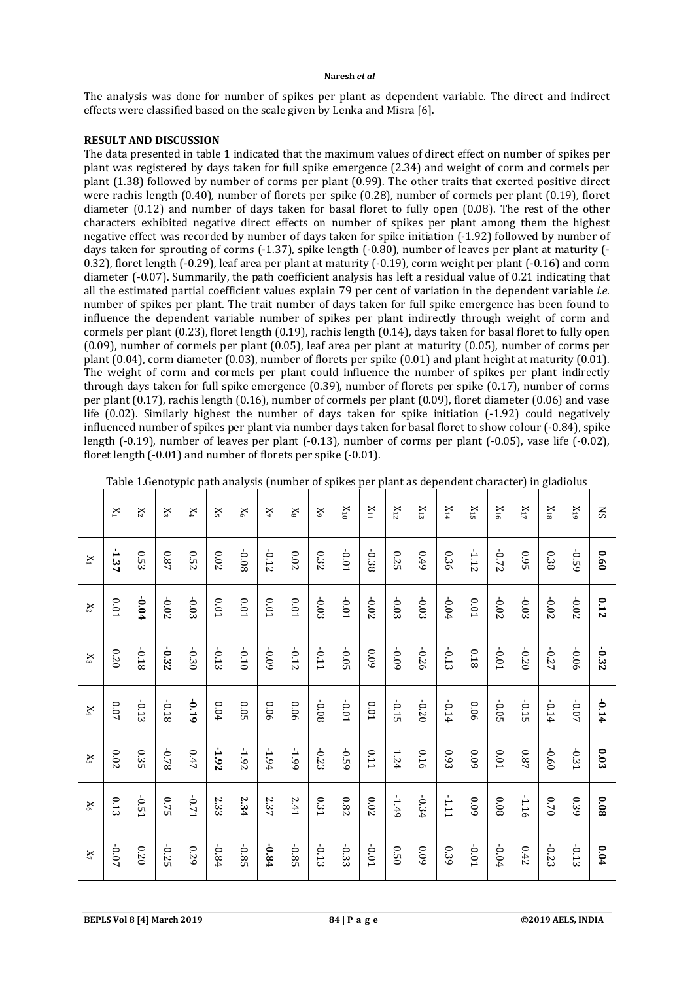#### **Naresh** *et al*

The analysis was done for number of spikes per plant as dependent variable. The direct and indirect effects were classified based on the scale given by Lenka and Misra [6].

## **RESULT AND DISCUSSION**

The data presented in table 1 indicated that the maximum values of direct effect on number of spikes per plant was registered by days taken for full spike emergence (2.34) and weight of corm and cormels per plant (1.38) followed by number of corms per plant (0.99). The other traits that exerted positive direct were rachis length (0.40), number of florets per spike (0.28), number of cormels per plant (0.19), floret diameter (0.12) and number of days taken for basal floret to fully open (0.08). The rest of the other characters exhibited negative direct effects on number of spikes per plant among them the highest negative effect was recorded by number of days taken for spike initiation (-1.92) followed by number of days taken for sprouting of corms (-1.37), spike length (-0.80), number of leaves per plant at maturity (- 0.32), floret length (-0.29), leaf area per plant at maturity (-0.19), corm weight per plant (-0.16) and corm diameter (-0.07). Summarily, the path coefficient analysis has left a residual value of 0.21 indicating that all the estimated partial coefficient values explain 79 per cent of variation in the dependent variable *i.e.*  number of spikes per plant. The trait number of days taken for full spike emergence has been found to influence the dependent variable number of spikes per plant indirectly through weight of corm and cormels per plant (0.23), floret length (0.19), rachis length (0.14), days taken for basal floret to fully open (0.09), number of cormels per plant (0.05), leaf area per plant at maturity (0.05), number of corms per plant (0.04), corm diameter (0.03), number of florets per spike (0.01) and plant height at maturity (0.01). The weight of corm and cormels per plant could influence the number of spikes per plant indirectly through days taken for full spike emergence (0.39), number of florets per spike (0.17), number of corms per plant (0.17), rachis length (0.16), number of cormels per plant (0.09), floret diameter (0.06) and vase life (0.02). Similarly highest the number of days taken for spike initiation (-1.92) could negatively influenced number of spikes per plant via number days taken for basal floret to show colour (-0.84), spike length (-0.19), number of leaves per plant (-0.13), number of corms per plant (-0.05), vase life (-0.02), floret length (-0.01) and number of florets per spike (-0.01).

|                | $X_1$                  | $X_2$   | $X_3$   | $X_4$   | X5       | $X_6$     | $X_7$   | $X_8$    | $X_9$      | $X_{10}$ | $X_{11}$     | $\rm X_{12}$ | $X_{13}$ | $X_{14}$ | $X_{15}$ | $X_{16}$  | $X_{17}$    | $\rm _{X18}$ | $X_{19}$ | SS      |
|----------------|------------------------|---------|---------|---------|----------|-----------|---------|----------|------------|----------|--------------|--------------|----------|----------|----------|-----------|-------------|--------------|----------|---------|
| $X_1$          | 1.37                   | 0.53    | 78.0    | 0.52    | 0.02     | 80'0-     | $-0.12$ | $0.02\,$ | 0.32       | -0.01    | $-0.38$      | 0.25         | 0.49     | 0.36     | $-1.12$  | $-0.72$   | <b>0.95</b> | 0.38         | $-0.59$  | 0.60    |
| $X_2$          | 0.01                   | $-0.04$ | -0.02   | $-0.03$ | $0.01\,$ | $10.01\,$ | 0.01    | 0.01     | $-0.03$    | $-0.01$  | $-0.02$      | $-0.03$      | $-0.03$  | $-0.04$  | 0.01     | $-0.02$   | $-0.03$     | $-0.02$      | $-0.02$  | 0.12    |
| $\mathbf{X}_3$ | 0.20                   | 81.0-   | -0.32   | -0.30   | $-0.13$  | $-0.10$   | 60'0-   | $-0.12$  | <b>110</b> | $-0.05$  | 60'0         | 60'0-        | -0.26    | $-0.13$  | 81.0     | T0.0-     | $-0.20$     | -0.27        | 90.0-    | -0.32   |
| $\mathbf{X}_4$ | 0.07                   | $-0.13$ | 81.0-   | -0.19   | $0.04\,$ | $0.05\,$  | 90.0    | 90.0     | 80'0-      | $-0.01$  | $10.0\,$     | $-0.15$      | $-0.20$  | $-0.14$  | 90.0     | $-0.05$   | $-0.15$     | $-0.14$      | $-0.07$  | $-0.14$ |
| $\mathbf{X}_5$ | <b>ZO</b> <sup>0</sup> | 0.35    | 82.0-   | 0.47    | $-1.92$  | $-1.92$   | $-1.94$ | $-1.99$  | $-0.23$    | -0.59    | <b>L10</b>   | 124          | 910      | 6.93     | 60'0     | $10.01\,$ | 78.0        | $-0.60$      | -0.31    | 0.03    |
| $X_6$          | 0.13                   | $-0.51$ | 0.75    | $-0.71$ | 2.33     | 2.34      | 2.37    | 2.41     | 0.31       | 780      | <b>20.02</b> | $-1.49$      | $-0.34$  | $-1.11$  | 60'0     | 80'0      | $-1.16$     | 0.70         | 0.39     | 80'0    |
| $\mathbf{X}_7$ | $-0.07$                | 020     | $-0.25$ | 670     | $-0.84$  | $-0.85$   | $-0.84$ | $-0.85$  | $-0.13$    | $-0.33$  | $-0.01$      | 0.50         | 60'0     | 0.39     | $-0.01$  | $-0.04$   | 0.42        | $-0.23$      | $-0.13$  | 6.04    |

| Table 1.Genotypic path analysis (number of spikes per plant as dependent character) in gladiolus |  |  |
|--------------------------------------------------------------------------------------------------|--|--|
|                                                                                                  |  |  |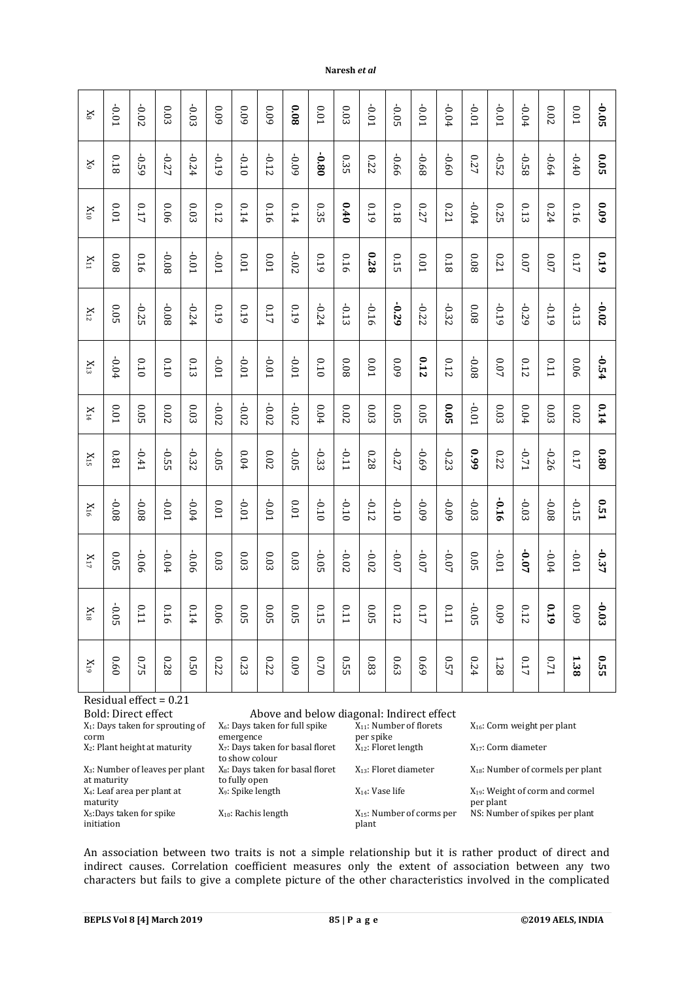| $\mathbb{X}^g$    | $-0.01$ | -0.02   | 0.03     | $-0.03$  | 60'0     | 60'0     | 60'0     | 8000      | 0.01    | 0.03    | $10.01$   | $-0.05$ | $-0.01$ | $-0.04$     | $-0.01$ | $-0.01$ | $-0.04$ | $0.02\,$ | $0.01\,$ | $-0.05$     |
|-------------------|---------|---------|----------|----------|----------|----------|----------|-----------|---------|---------|-----------|---------|---------|-------------|---------|---------|---------|----------|----------|-------------|
| $\rm X$           | 0.18    | $-0.59$ | $-0.27$  | $-0.24$  | -0.19    | $-0.10$  | $-0.12$  | -0.09     | 080-    | 0.35    | 0.22      | -0.66   | -0.68   | $-0.60$     | 0.27    | $-0.52$ | -0.58   | $-0.64$  | $-0.40$  | 0.05        |
| $\rm _{X10}$      | 0.01    | 0.17    | 0.06     | $0.03\,$ | 0.12     | 0.14     | 0.16     | 0.14      | 0.35    | 0.40    | 0.19      | 0.18    | 0.27    | <b>0.21</b> | $-0.04$ | 0.25    | 0.13    | 0.24     | 0.16     | 60'0        |
| $X_{11}$          | 80.0    | 0.16    | 80'0-    | $-0.01$  | $-0.01$  | $0.01\,$ | $0.01\,$ | $-0.02$   | 0.19    | 0.16    | 870       | 0.15    | 0.01    | 810         | 80'0    | 0.21    | 0.07    | 0.07     | 0.17     | 610         |
| $\rm X_{12}$      | 0.05    | -0.25   | -0.08    | $-0.24$  | 610      | 610      | 0.17     | 0.19      | $-0.24$ | $-0.13$ | 9T0-      | -0.29   | -0.22   | -0.32       | 800     | -0.19   | $-0.29$ | $-0.19$  | $-0.13$  | $-0.02$     |
| $\rm X_{13}$      | $-0.04$ | 0.10    | 0.10     | 0.13     | $-0.01$  | $-0.01$  | $-0.01$  | $-0.01$   | 0.10    | 80'0    | $10.01\,$ | 60'0    | 0.12    | 0.12        | -0.08   | $0.07$  | 0.12    | 0.11     | 90'0     | $-0.54$     |
| $\rm _{X14}$      | 0.01    | 0.05    | $0.02\,$ | 0.03     | $-0.02$  | $-0.02$  | $-0.02$  | $-0.02$   | 0.04    | 0.02    | 0.03      | 0.05    | 0.05    | 0.05        | $-0.01$ | 0.03    | 0.04    | $0.03\,$ | $0.02$   | 0.14        |
| $\mathbf{X}_{15}$ | 180     | $-0.41$ | $-0.55$  | $-0.32$  | $-0.05$  | 0.04     | $0.02$   | $-0.05$   | $-0.33$ | -0.11   | 870       | $-0.27$ | -0.69   | $-0.23$     | 660     | 0.22    | $-0.71$ | $-0.26$  | 0.17     | 080         |
| $\rm X_{16}$      | 80'0-   | 80.0-   | $10.01$  | $-0.04$  | $0.01\,$ | $-0.01$  | $10.01$  | $10.01\,$ | $-0.10$ | $-0.10$ | $-0.12$   | $-0.10$ | 60'0-   | $-0.09$     | $-0.03$ | -0.16   | $-0.03$ | -0.08    | $-0.15$  | <b>0.51</b> |
| $\rm X_{17}$      | 0.05    | 90'0-   | $-0.04$  | -0.06    | $0.03\,$ | 0.03     | 0.03     | 0.03      | $-0.05$ | $-0.02$ | $-0.02$   | $-0.07$ | $-0.07$ | $-0.07$     | 0.05    | $-0.01$ | $-0.07$ | $-0.04$  | $-0.01$  | $-0.37$     |
| $\rm _{X18}$      | $-0.05$ | 0.11    | 0.16     | 0.14     | 900      | 0.05     | 0.05     | 0.05      | 0.15    | 0.11    | 0.05      | 0.12    | 0.17    | 0.11        | $-0.05$ | 600     | 0.12    | 610      | 600      | $-0.03$     |
| $\rm _{K19}$      | 0.60    | 0.75    | 870      | 0.50     | 0.22     | 0.23     | 0.22     | 60'0      | 0.70    | 0.55    | 0.83      | 0.63    | 690     | 0.57        | 0.24    | 1.28    | 0.17    | $0.71\,$ | 1.38     | 0.55        |

**Naresh** *et al*

Residual effect = 0.21 X1: Days taken for sprouting of corm  $X_2$ : Plant height at maturity

X3: Number of leaves per plant at maturity X4: Leaf area per plant at maturity X5:Days taken for spike initiation

Bold: Direct effect Above and below diagonal: Indirect effect

| X <sub>6</sub> : Days taken for full spike   |
|----------------------------------------------|
| emergence                                    |
| X <sub>7</sub> : Days taken for basal floret |
| to show colour                               |
| X <sub>8</sub> : Days taken for basal floret |
| to fully open                                |
| X <sub>9</sub> : Spike length                |
|                                              |
| $X_{10}$ : Rachis length                     |
|                                              |

 $X_{11}$ : Number of florets per spike<br>X<sub>12</sub>: Floret length

 $X_{15}$ : Number of corms per

X16: Corm weight per plant X<sub>17</sub>: Corm diameter  $X_{13}$ : Floret diameter  $X_{18}$ : Number of cormels per plant  $X_{14}$ : Vase life  $X_{19}$ : Weight of corm and cormel per plant NS: Number of spikes per plant

An association between two traits is not a simple relationship but it is rather product of direct and indirect causes. Correlation coefficient measures only the extent of association between any two characters but fails to give a complete picture of the other characteristics involved in the complicated

plant